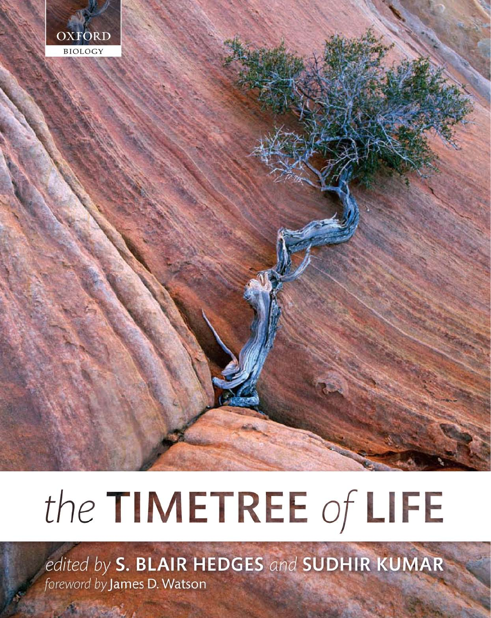

# the TIMETREE of LIFE

edited by S. BLAIR HEDGES and SUDHIR KUMAR foreword by James D. Watson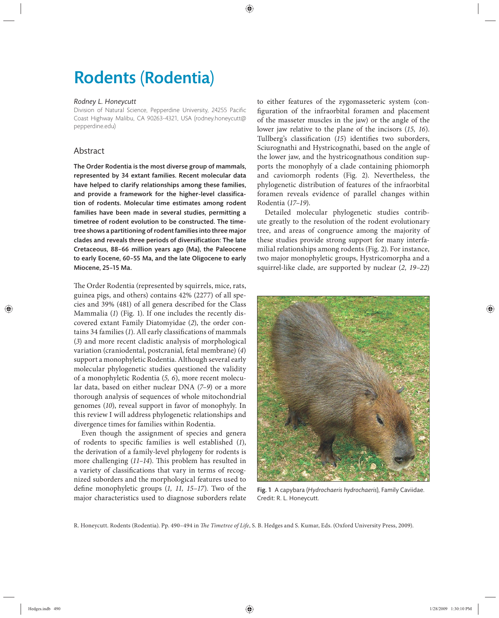# Rodents (Rodentia)

#### *Rodney L. Honeycutt*

Division of Natural Science, Pepperdine University, 24255 Pacific Coast Highway Malibu, CA 90263-4321, USA (rodney.honeycutt@ pepperdine.edu)

## Abstract

The Order Rodentia is the most diverse group of mammals, represented by 34 extant families. Recent molecular data have helped to clarify relationships among these families, and provide a framework for the higher-level classification of rodents. Molecular time estimates among rodent families have been made in several studies, permitting a timetree of rodent evolution to be constructed. The timetree shows a partitioning of rodent families into three major clades and reveals three periods of diversification: The late Cretaceous, 88-66 million years ago (Ma), the Paleocene to early Eocene, 60–55 Ma, and the late Oligocene to early Miocene, 25–15 Ma.

The Order Rodentia (represented by squirrels, mice, rats, guinea pigs, and others) contains 42% (2277) of all species and 39% (481) of all genera described for the Class Mammalia (*1*) (Fig. 1). If one includes the recently discovered extant Family Diatomyidae (*2*), the order contains 34 families (1). All early classifications of mammals (*3*) and more recent cladistic analysis of morphological variation (craniodental, postcranial, fetal membrane) (*4*) support a monophyletic Rodentia. Although several early molecular phylogenetic studies questioned the validity of a monophyletic Rodentia (*5, 6*), more recent molecular data, based on either nuclear DNA (*7–9*) or a more thorough analysis of sequences of whole mitochondrial genomes (*10*), reveal support in favor of monophyly. In this review I will address phylogenetic relationships and divergence times for families within Rodentia.

Even though the assignment of species and genera of rodents to specific families is well established (1), the derivation of a family-level phylogeny for rodents is more challenging (11-14). This problem has resulted in a variety of classifications that vary in terms of recognized suborders and the morphological features used to define monophyletic groups (1, 11, 15–17). Two of the major characteristics used to diagnose suborders relate

to either features of the zygomasseteric system (configuration of the infraorbital foramen and placement of the masseter muscles in the jaw) or the angle of the lower jaw relative to the plane of the incisors (*15, 16*). Tullberg's classification (15) identifies two suborders, Sciurognathi and Hystricognathi, based on the angle of the lower jaw, and the hystricognathous condition supports the monophyly of a clade containing phiomorph and caviomorph rodents (Fig. 2). Nevertheless, the phylogenetic distribution of features of the infraorbital foramen reveals evidence of parallel changes within Rodentia (*17–19*).

Detailed molecular phylogenetic studies contribute greatly to the resolution of the rodent evolutionary tree, and areas of congruence among the majority of these studies provide strong support for many interfamilial relationships among rodents (Fig. 2). For instance, two major monophyletic groups, Hystricomorpha and a squirrel-like clade, are supported by nuclear (*2, 19–22*)



Fig. 1 A capybara (*Hydrochaeris hydrochaeris*), Family Caviidae. Credit: R. L. Honeycutt.

R. Honeycutt. Rodents (Rodentia). Pp. 490-494 in *The Timetree of Life*, S. B. Hedges and S. Kumar, Eds. (Oxford University Press, 2009).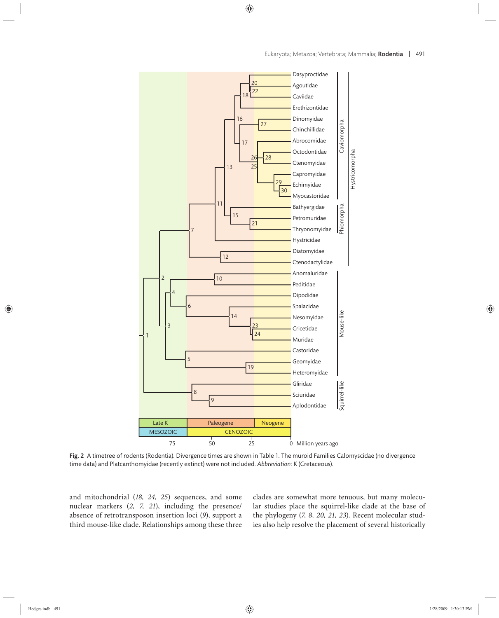

Fig. 2 A timetree of rodents (Rodentia). Divergence times are shown in Table 1. The muroid Families Calomyscidae (no divergence time data) and Platcanthomyidae (recently extinct) were not included. *Abbreviation*: K (Cretaceous).

and mitochondrial (18, 24, 25) sequences, and some nuclear markers (2, 7, 21), including the presence/ absence of retrotransposon insertion loci (*9*), support a third mouse-like clade. Relationships among these three clades are somewhat more tenuous, but many molecular studies place the squirrel-like clade at the base of the phylogeny (*7, 8, 20, 21, 23*). Recent molecular studies also help resolve the placement of several historically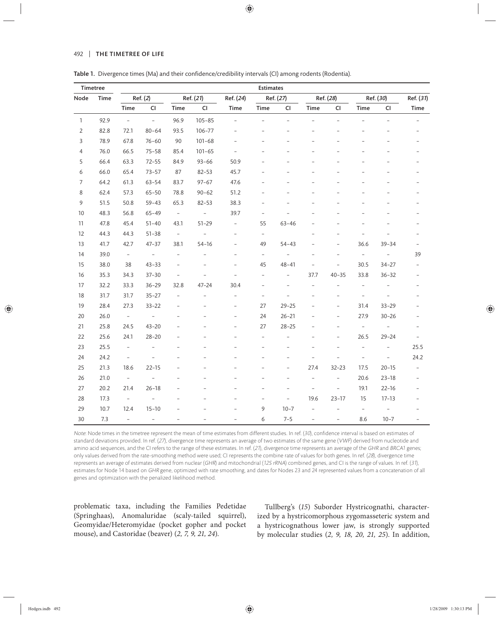#### 492 | THE TIMETREE OF LIFE

| Timetree         |      |                          |                          |                   |                      |                          | <b>Estimates</b>         |                          |                          |                          |                          |                          |                          |
|------------------|------|--------------------------|--------------------------|-------------------|----------------------|--------------------------|--------------------------|--------------------------|--------------------------|--------------------------|--------------------------|--------------------------|--------------------------|
| Node             | Time | Ref. (2)                 |                          | Ref. (21)         |                      | Ref. (24)                | Ref. (27)                |                          | Ref. (28)                |                          | Ref. (30)                |                          | Ref. (31)                |
|                  |      | Time                     | $\mathsf{CI}\xspace$     | Time              | $\mathsf{CI}\xspace$ | Time                     | Time                     | <b>CI</b>                | Time                     | <b>CI</b>                | Time                     | $\mathsf{CI}\xspace$     | Time                     |
| $\mathbf{1}$     | 92.9 | $\bar{\phantom{a}}$      | $\equiv$                 | 96.9              | $105 - 85$           | $\overline{\phantom{0}}$ | $\overline{\phantom{0}}$ | $\overline{a}$           | $\overline{\phantom{0}}$ | $\overline{a}$           | $\overline{a}$           | $\overline{a}$           | $\bar{ }$                |
| $\overline{2}$   | 82.8 | 72.1                     | $80 - 64$                | 93.5              | $106 - 77$           |                          |                          |                          |                          |                          |                          |                          |                          |
| $\overline{3}$   | 78.9 | 67.8                     | $76 - 60$                | 90                | $101 - 68$           | $\overline{a}$           |                          |                          |                          |                          |                          |                          |                          |
| $\overline{4}$   | 76.0 | 66.5                     | $75 - 58$                | 85.4              | $101 - 65$           | $\overline{\phantom{a}}$ |                          |                          |                          |                          |                          |                          | $\overline{a}$           |
| 5                | 66.4 | 63.3                     | $72 - 55$                | 84.9              | $93 - 66$            | 50.9                     |                          |                          |                          |                          |                          |                          |                          |
| 6                | 66.0 | 65.4                     | $73 - 57$                | 87                | $82 - 53$            | 45.7                     |                          |                          |                          |                          |                          |                          |                          |
| $\boldsymbol{7}$ | 64.2 | 61.3                     | $63 - 54$                | 83.7              | $97 - 67$            | 47.6                     |                          |                          |                          |                          |                          |                          |                          |
| 8                | 62.4 | 57.3                     | $65 - 50$                | 78.8              | $90 - 62$            | 51.2                     |                          |                          |                          |                          |                          |                          |                          |
| $\overline{9}$   | 51.5 | 50.8                     | $59 - 43$                | 65.3              | $82 - 53$            | 38.3                     |                          |                          |                          |                          |                          |                          |                          |
| $10$             | 48.3 | 56.8                     | $65 - 49$                | $\equiv$          | $\equiv$             | 39.7                     | $\overline{a}$           |                          |                          |                          |                          |                          |                          |
| 11               | 47.8 | 45.4                     | $51 - 40$                | 43.1              | $51 - 29$            | $\overline{\phantom{0}}$ | 55                       | $63 - 46$                |                          |                          |                          |                          |                          |
| 12               | 44.3 | 44.3                     | $51 - 38$                | $\equiv$          | $\bar{\phantom{a}}$  | $\overline{\phantom{0}}$ | $\overline{\phantom{a}}$ |                          |                          |                          |                          |                          | $\overline{a}$           |
| 13               | 41.7 | 42.7                     | $47 - 37$                | 38.1              | $54 - 16$            | $\overline{\phantom{0}}$ | 49                       | $54 - 43$                |                          | $\overline{a}$           | 36.6                     | $39 - 34$                | $\overline{\phantom{a}}$ |
| 14               | 39.0 | $\overline{\phantom{a}}$ | $\equiv$                 | $\qquad \qquad -$ |                      | $\overline{a}$           | $\qquad \qquad -$        | $\overline{\phantom{a}}$ |                          |                          | $\overline{\phantom{a}}$ | $\overline{a}$           | 39                       |
| 15               | 38.0 | 38                       | $43 - 33$                | $\overline{a}$    |                      |                          | 45                       | $48 - 41$                |                          | $\overline{\phantom{0}}$ | 30.5                     | $34 - 27$                |                          |
| 16               | 35.3 | 34.3                     | $37 - 30$                | $\overline{a}$    | $\overline{a}$       | $\overline{a}$           | $\overline{a}$           | $\overline{\phantom{0}}$ | 37.7                     | $40 - 35$                | 33.8                     | $36 - 32$                |                          |
| 17               | 32.2 | 33.3                     | $36 - 29$                | 32.8              | $47 - 24$            | 30.4                     |                          |                          | $\overline{\phantom{0}}$ | $\overline{\phantom{0}}$ | $\overline{\phantom{a}}$ |                          |                          |
| $18\,$           | 31.7 | 31.7                     | $35 - 27$                | $\overline{a}$    | $\overline{a}$       | $\overline{a}$           |                          |                          |                          |                          | $\overline{\phantom{m}}$ |                          | $\overline{a}$           |
| 19               | 28.4 | 27.3                     | $33 - 22$                | $\overline{a}$    |                      | $\overline{\phantom{0}}$ | 27                       | $29 - 25$                |                          | $\overline{\phantom{0}}$ | 31.4                     | $33 - 29$                | $\overline{\phantom{0}}$ |
| 20               | 26.0 | $\sim$                   | $\equiv$                 |                   |                      | $\overline{a}$           | 24                       | $26 - 21$                |                          | $\overline{\phantom{0}}$ | 27.9                     | $30 - 26$                | $\overline{\phantom{a}}$ |
| 21               | 25.8 | 24.5                     | $43 - 20$                | $\overline{a}$    |                      | $\overline{a}$           | 27                       | $28 - 25$                | $\overline{\phantom{0}}$ | $\overline{\phantom{0}}$ | $\overline{\phantom{a}}$ | $\overline{\phantom{a}}$ | $\overline{\phantom{a}}$ |
| 22               | 25.6 | 24.1                     | $28 - 20$                |                   |                      |                          |                          |                          |                          | $\overline{\phantom{0}}$ | 26.5                     | $29 - 24$                | $\overline{\phantom{a}}$ |
| 23               | 25.5 | $\overline{\phantom{a}}$ |                          |                   |                      |                          |                          |                          |                          |                          |                          | $\qquad \qquad -$        | 25.5                     |
| 24               | 24.2 | $\overline{\phantom{a}}$ |                          |                   |                      |                          |                          |                          |                          |                          | $\overline{\phantom{a}}$ | $\bar{ }$                | 24.2                     |
| 25               | 21.3 | 18.6                     | $22 - 15$                |                   |                      |                          |                          |                          | 27.4                     | $32 - 23$                | 17.5                     | $20 - 15$                | $\overline{\phantom{a}}$ |
| 26               | 21.0 | $\overline{\phantom{a}}$ | $\overline{\phantom{0}}$ |                   |                      |                          |                          |                          | $\overline{a}$           | $\overline{\phantom{0}}$ | 20.6                     | $23 - 18$                | $\overline{\phantom{a}}$ |
| 27               | 20.2 | 21.4                     | $26 - 18$                |                   |                      |                          |                          |                          | $\overline{a}$           | $\overline{\phantom{0}}$ | 19.1                     | $22 - 16$                | $\overline{\phantom{0}}$ |
| 28               | 17.3 | $\equiv$                 | $\overline{\phantom{0}}$ |                   |                      |                          |                          | $\overline{\phantom{0}}$ | 19.6                     | $23 - 17$                | 15                       | $17 - 13$                | $\overline{\phantom{0}}$ |
| 29               | 10.7 | 12.4                     | $15 - 10$                |                   |                      |                          | 9                        | $10 - 7$                 | $\qquad \qquad -$        |                          | $\overline{\phantom{a}}$ | $\overline{\phantom{a}}$ |                          |
| 30               | 7.3  | $\overline{\phantom{0}}$ | $\overline{\phantom{0}}$ |                   |                      | $\overline{a}$           | 6                        | $7 - 5$                  | $\qquad \qquad -$        | $\overline{\phantom{0}}$ | 8.6                      | $10 - 7$                 |                          |

| Table 1. Divergence times (Ma) and their confidence/credibility intervals (CI) among rodents (Rodentia). |  |  |  |  |  |  |
|----------------------------------------------------------------------------------------------------------|--|--|--|--|--|--|
|----------------------------------------------------------------------------------------------------------|--|--|--|--|--|--|

Note: Node times in the timetree represent the mean of time estimates from different studies. In ref. (30), confidence interval is based on estimates of standard deviations provided. In ref. (27), divergence time represents an average of two estimates of the same gene (VWF) derived from nucleotide and amino acid sequences, and the CI refers to the range of these estimates. In ref. (21), divergence time represents an average of the GHR and BRCA1 genes; only values derived from the rate-smoothing method were used; CI represents the combine rate of values for both genes. In ref. (28), divergence time represents an average of estimates derived from nuclear (GHR) and mitochondrial (12S rRNA) combined genes, and CI is the range of values. In ref. (31), estimates for Node 14 based on GHR gene, optimized with rate smoothing, and dates for Nodes 23 and 24 represented values from a concatenation of all genes and optimization with the penalized likelihood method.

problematic taxa, including the Families Pedetidae (Springhaas), Anomaluridae (scaly-tailed squirrel), Geomyidae/Heteromyidae (pocket gopher and pocket mouse), and Castoridae (beaver) (*2, 7, 9, 21, 24*).

Tullberg's (15) Suborder Hystricognathi, characterized by a hystricomorphous zygomasseteric system and a hystricognathous lower jaw, is strongly supported by molecular studies (*2, 9, 18, 20 , 21, 25*). In addition,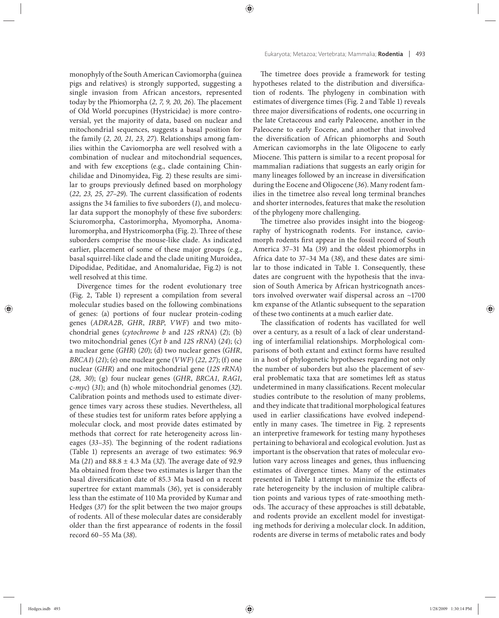monophyly of the South American Caviomorpha (guinea pigs and relatives) is strongly supported, suggesting a single invasion from African ancestors, represented today by the Phiomorpha (2, 7, 9, 20, 26). The placement of Old World porcupines (Hystricidae) is more controversial, yet the majority of data, based on nuclear and mitochondrial sequences, suggests a basal position for the family (*2, 20, 21, 23, 27*). Relationships among families within the Caviomorpha are well resolved with a combination of nuclear and mitochondrial sequences, and with few exceptions (e.g., clade containing Chinchilidae and Dinomyidea, Fig. 2) these results are similar to groups previously defined based on morphology  $(22, 23, 25, 27-29)$ . The current classification of rodents assigns the 34 families to five suborders (1), and molecular data support the monophyly of these five suborders: Sciuromorpha, Castorimorpha, Myomorpha, Anomaluromorpha, and Hystricomorpha (Fig. 2). Three of these suborders comprise the mouse-like clade. As indicated earlier, placement of some of these major groups (e.g., basal squirrel-like clade and the clade uniting Muroidea, Dipodidae, Peditidae, and Anomaluridae, Fig.2) is not well resolved at this time.

Divergence times for the rodent evolutionary tree (Fig. 2, Table 1) represent a compilation from several molecular studies based on the following combinations of genes: (a) portions of four nuclear protein-coding genes (*ADRA2B*, *GHR*, *IRBP*, *VWF*) and two mitochondrial genes (*cytochrome b* and *12S rRNA*) (*2*); (b) two mitochondrial genes (*Cyt b* and *12S rRNA*) (*24*); (c) a nuclear gene (*GHR*) (*20*); (d) two nuclear genes (*GHR*, *BRCA1*) (*21*); (e) one nuclear gene (*VWF*) (*22, 27*); (f) one nuclear (*GHR*) and one mitochondrial gene (*12S rRNA*) (*28, 30*); (g) four nuclear genes (*GHR*, *BRCA1*, *RAG1*, c*-myc*) (*31*); and (h) whole mitochondrial genomes (*32*). Calibration points and methods used to estimate divergence times vary across these studies. Nevertheless, all of these studies test for uniform rates before applying a molecular clock, and most provide dates estimated by methods that correct for rate heterogeneity across lineages (33-35). The beginning of the rodent radiations (Table 1) represents an average of two estimates: 96.9 Ma (21) and 88.8 ± 4.3 Ma (32). The average date of 92.9 Ma obtained from these two estimates is larger than the basal diversification date of 85.3 Ma based on a recent supertree for extant mammals (*36*), yet is considerably less than the estimate of 110 Ma provided by Kumar and Hedges (*37*) for the split between the two major groups of rodents. All of these molecular dates are considerably older than the first appearance of rodents in the fossil record 60–55 Ma (*38*).

The timetree does provide a framework for testing hypotheses related to the distribution and diversification of rodents. The phylogeny in combination with estimates of divergence times (Fig. 2 and Table 1) reveals three major diversifications of rodents, one occurring in the late Cretaceous and early Paleocene, another in the Paleocene to early Eocene, and another that involved the diversification of African phiomorphs and South American caviomorphs in the late Oligocene to early Miocene. This pattern is similar to a recent proposal for mammalian radiations that suggests an early origin for many lineages followed by an increase in diversification during the Eocene and Oligocene (*36*). Many rodent families in the timetree also reveal long terminal branches and shorter internodes, features that make the resolution of the phylogeny more challenging.

The timetree also provides insight into the biogeography of hystricognath rodents. For instance, caviomorph rodents first appear in the fossil record of South America 37–31 Ma (*39*) and the oldest phiomorphs in Africa date to 37–34 Ma (*38*), and these dates are similar to those indicated in Table 1. Consequently, these dates are congruent with the hypothesis that the invasion of South America by African hystricognath ancestors involved overwater waif dispersal across an ~1700 km expanse of the Atlantic subsequent to the separation of these two continents at a much earlier date.

The classification of rodents has vacillated for well over a century, as a result of a lack of clear understanding of interfamilial relationships. Morphological comparisons of both extant and extinct forms have resulted in a host of phylogenetic hypotheses regarding not only the number of suborders but also the placement of several problematic taxa that are sometimes left as status undetermined in many classifications. Recent molecular studies contribute to the resolution of many problems, and they indicate that traditional morphological features used in earlier classifications have evolved independently in many cases. The timetree in Fig. 2 represents an interpretive framework for testing many hypotheses pertaining to behavioral and ecological evolution. Just as important is the observation that rates of molecular evolution vary across lineages and genes, thus influencing estimates of divergence times. Many of the estimates presented in Table 1 attempt to minimize the effects of rate heterogeneity by the inclusion of multiple calibration points and various types of rate-smoothing methods. The accuracy of these approaches is still debatable, and rodents provide an excellent model for investigating methods for deriving a molecular clock. In addition, rodents are diverse in terms of metabolic rates and body